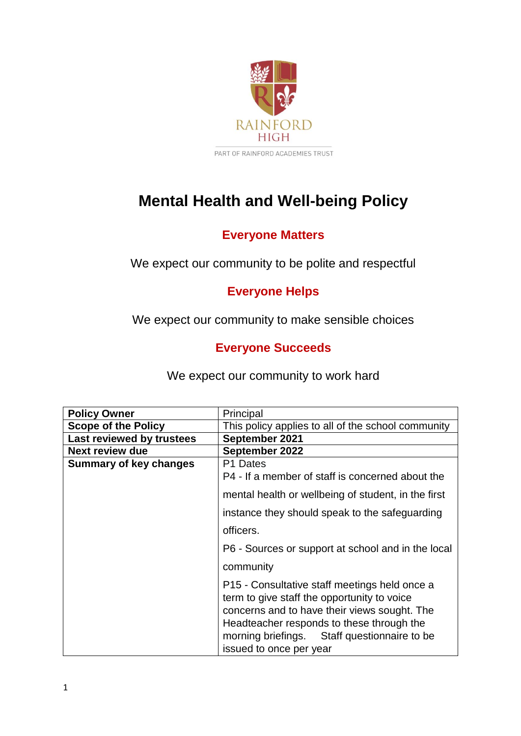

# **Mental Health and Well-being Policy**

## **Everyone Matters**

We expect our community to be polite and respectful

## **Everyone Helps**

We expect our community to make sensible choices

## **Everyone Succeeds**

We expect our community to work hard

| <b>Policy Owner</b>           | Principal                                                                                                                                                                                                                                                            |
|-------------------------------|----------------------------------------------------------------------------------------------------------------------------------------------------------------------------------------------------------------------------------------------------------------------|
| <b>Scope of the Policy</b>    | This policy applies to all of the school community                                                                                                                                                                                                                   |
| Last reviewed by trustees     | September 2021                                                                                                                                                                                                                                                       |
| <b>Next review due</b>        | September 2022                                                                                                                                                                                                                                                       |
| <b>Summary of key changes</b> | P1 Dates                                                                                                                                                                                                                                                             |
|                               | P4 - If a member of staff is concerned about the                                                                                                                                                                                                                     |
|                               | mental health or wellbeing of student, in the first                                                                                                                                                                                                                  |
|                               | instance they should speak to the safeguarding                                                                                                                                                                                                                       |
|                               | officers.                                                                                                                                                                                                                                                            |
|                               | P6 - Sources or support at school and in the local                                                                                                                                                                                                                   |
|                               | community                                                                                                                                                                                                                                                            |
|                               | P15 - Consultative staff meetings held once a<br>term to give staff the opportunity to voice<br>concerns and to have their views sought. The<br>Headteacher responds to these through the<br>morning briefings. Staff questionnaire to be<br>issued to once per year |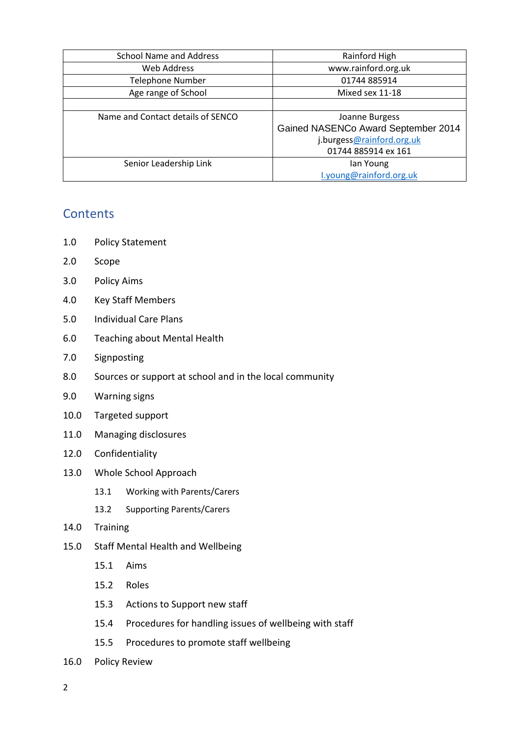| <b>School Name and Address</b>    | Rainford High                                         |
|-----------------------------------|-------------------------------------------------------|
| Web Address                       | www.rainford.org.uk                                   |
| <b>Telephone Number</b>           | 01744 885914                                          |
| Age range of School               | Mixed sex 11-18                                       |
|                                   |                                                       |
| Name and Contact details of SENCO | Joanne Burgess<br>Gained NASENCo Award September 2014 |
|                                   | j.burgess@rainford.org.uk                             |
|                                   | 01744 885914 ex 161                                   |
| Senior Leadership Link            | lan Young                                             |
|                                   | I.young@rainford.org.uk                               |

## **Contents**

- 1.0 Policy Statement
- 2.0 Scope
- 3.0 Policy Aims
- 4.0 Key Staff Members
- 5.0 Individual Care Plans
- 6.0 Teaching about Mental Health
- 7.0 Signposting
- 8.0 Sources or support at school and in the local community
- 9.0 Warning signs
- 10.0 Targeted support
- 11.0 Managing disclosures
- 12.0 Confidentiality
- 13.0 Whole School Approach
	- 13.1 Working with Parents/Carers
	- 13.2 Supporting Parents/Carers
- 14.0 Training
- 15.0 Staff Mental Health and Wellbeing
	- 15.1 Aims
	- 15.2 Roles
	- 15.3 Actions to Support new staff
	- 15.4 Procedures for handling issues of wellbeing with staff
	- 15.5 Procedures to promote staff wellbeing
- 16.0 Policy Review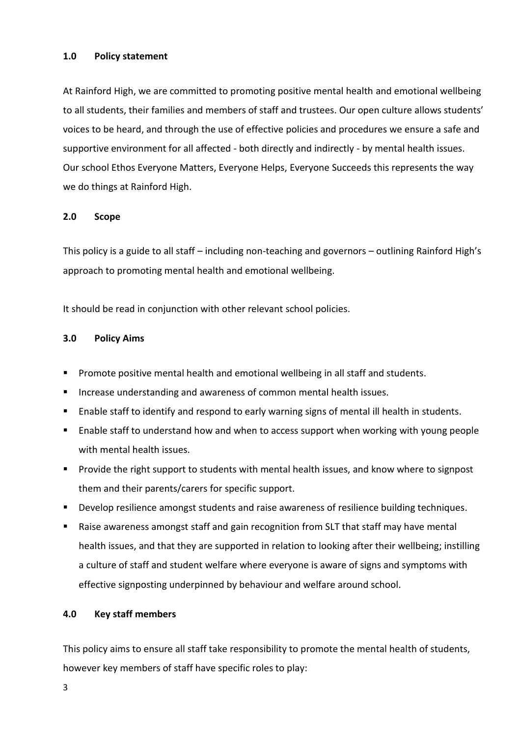#### **1.0 Policy statement**

At Rainford High, we are committed to promoting positive mental health and emotional wellbeing to all students, their families and members of staff and trustees. Our open culture allows students' voices to be heard, and through the use of effective policies and procedures we ensure a safe and supportive environment for all affected - both directly and indirectly - by mental health issues. Our school Ethos Everyone Matters, Everyone Helps, Everyone Succeeds this represents the way we do things at Rainford High.

## **2.0 Scope**

This policy is a guide to all staff – including non-teaching and governors – outlining Rainford High's approach to promoting mental health and emotional wellbeing.

It should be read in conjunction with other relevant school policies.

#### **3.0 Policy Aims**

- **Promote positive mental health and emotional wellbeing in all staff and students.**
- **Increase understanding and awareness of common mental health issues.**
- Enable staff to identify and respond to early warning signs of mental ill health in students.
- Enable staff to understand how and when to access support when working with young people with mental health issues.
- **Provide the right support to students with mental health issues, and know where to signpost** them and their parents/carers for specific support.
- **Develop resilience amongst students and raise awareness of resilience building techniques.**
- Raise awareness amongst staff and gain recognition from SLT that staff may have mental health issues, and that they are supported in relation to looking after their wellbeing; instilling a culture of staff and student welfare where everyone is aware of signs and symptoms with effective signposting underpinned by behaviour and welfare around school.

## **4.0 Key staff members**

This policy aims to ensure all staff take responsibility to promote the mental health of students, however key members of staff have specific roles to play: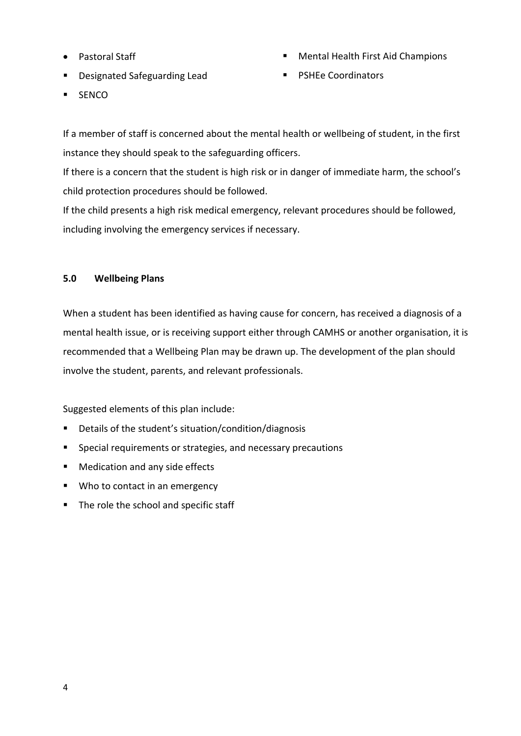- Pastoral Staff
- **•** Designated Safeguarding Lead
- **SENCO**
- Mental Health First Aid Champions
- PSHEe Coordinators

If a member of staff is concerned about the mental health or wellbeing of student, in the first instance they should speak to the safeguarding officers.

If there is a concern that the student is high risk or in danger of immediate harm, the school's child protection procedures should be followed.

If the child presents a high risk medical emergency, relevant procedures should be followed, including involving the emergency services if necessary.

## **5.0 Wellbeing Plans**

When a student has been identified as having cause for concern, has received a diagnosis of a mental health issue, or is receiving support either through CAMHS or another organisation, it is recommended that a Wellbeing Plan may be drawn up. The development of the plan should involve the student, parents, and relevant professionals.

Suggested elements of this plan include:

- Details of the student's situation/condition/diagnosis
- **Special requirements or strategies, and necessary precautions**
- **Medication and any side effects**
- Who to contact in an emergency
- The role the school and specific staff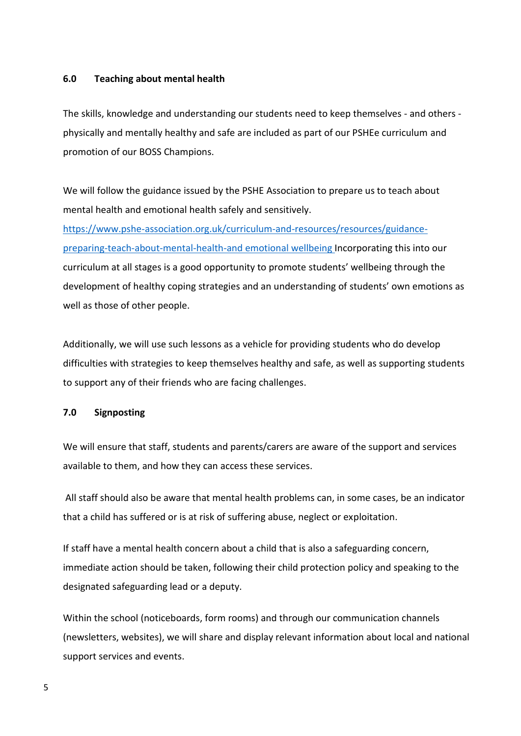#### **6.0 Teaching about mental health**

The skills, knowledge and understanding our students need to keep themselves - and others physically and mentally healthy and safe are included as part of our PSHEe curriculum and promotion of our BOSS Champions.

We will follow the guidance issued by the PSHE Association to prepare us to teach about mental health and emotional health safely and sensitively.

[https://www.pshe-association.org.uk/curriculum-and-resources/resources/guidance](https://www.pshe-association.org.uk/curriculum-and-resources/resources/guidance-preparing-teach-about-mental-health-and)[preparing-teach-about-mental-health-and](https://www.pshe-association.org.uk/curriculum-and-resources/resources/guidance-preparing-teach-about-mental-health-and) emotional wellbeing Incorporating this into our curriculum at all stages is a good opportunity to promote students' wellbeing through the development of healthy coping strategies and an understanding of students' own emotions as well as those of other people.

Additionally, we will use such lessons as a vehicle for providing students who do develop difficulties with strategies to keep themselves healthy and safe, as well as supporting students to support any of their friends who are facing challenges.

#### **7.0 Signposting**

We will ensure that staff, students and parents/carers are aware of the support and services available to them, and how they can access these services.

All staff should also be aware that mental health problems can, in some cases, be an indicator that a child has suffered or is at risk of suffering abuse, neglect or exploitation.

If staff have a mental health concern about a child that is also a safeguarding concern, immediate action should be taken, following their child protection policy and speaking to the designated safeguarding lead or a deputy.

Within the school (noticeboards, form rooms) and through our communication channels (newsletters, websites), we will share and display relevant information about local and national support services and events.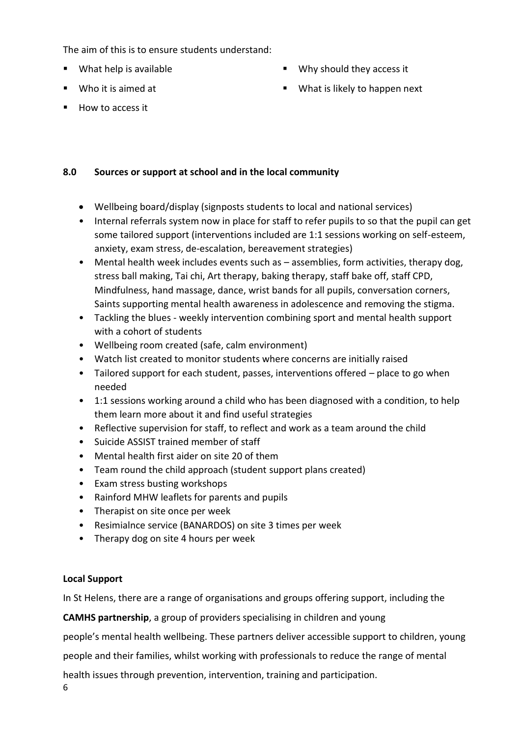The aim of this is to ensure students understand:

- What help is available
- Who it is aimed at
- Why should they access it
- **What is likely to happen next**

 $How to access it$ 

## **8.0 Sources or support at school and in the local community**

- Wellbeing board/display (signposts students to local and national services)
- Internal referrals system now in place for staff to refer pupils to so that the pupil can get some tailored support (interventions included are 1:1 sessions working on self-esteem, anxiety, exam stress, de-escalation, bereavement strategies)
- Mental health week includes events such as assemblies, form activities, therapy dog, stress ball making, Tai chi, Art therapy, baking therapy, staff bake off, staff CPD, Mindfulness, hand massage, dance, wrist bands for all pupils, conversation corners, Saints supporting mental health awareness in adolescence and removing the stigma.
- Tackling the blues weekly intervention combining sport and mental health support with a cohort of students
- Wellbeing room created (safe, calm environment)
- Watch list created to monitor students where concerns are initially raised
- Tailored support for each student, passes, interventions offered place to go when needed
- 1:1 sessions working around a child who has been diagnosed with a condition, to help them learn more about it and find useful strategies
- Reflective supervision for staff, to reflect and work as a team around the child
- Suicide ASSIST trained member of staff
- Mental health first aider on site 20 of them
- Team round the child approach (student support plans created)
- Exam stress busting workshops
- Rainford MHW leaflets for parents and pupils
- Therapist on site once per week
- Resimialnce service (BANARDOS) on site 3 times per week
- Therapy dog on site 4 hours per week

## **Local Support**

In St Helens, there are a range of organisations and groups offering support, including the

**CAMHS partnership**, a group of providers specialising in children and young

people's mental health wellbeing. These partners deliver accessible support to children, young

people and their families, whilst working with professionals to reduce the range of mental

health issues through prevention, intervention, training and participation.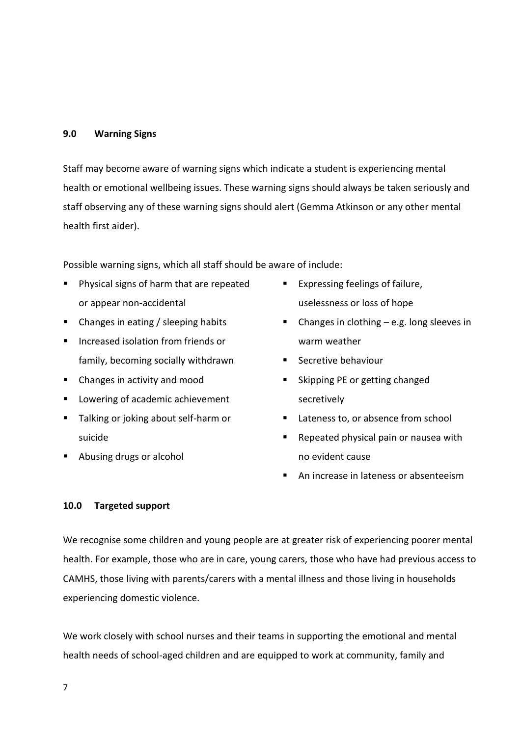#### **9.0 Warning Signs**

Staff may become aware of warning signs which indicate a student is experiencing mental health or emotional wellbeing issues. These warning signs should always be taken seriously and staff observing any of these warning signs should alert (Gemma Atkinson or any other mental health first aider).

Possible warning signs, which all staff should be aware of include:

- **Physical signs of harm that are repeated** or appear non-accidental
- Changes in eating / sleeping habits
- **Increased isolation from friends or** family, becoming socially withdrawn
- Changes in activity and mood
- **Lowering of academic achievement**
- **Talking or joking about self-harm or** suicide
- Abusing drugs or alcohol
- **Expressing feelings of failure,** uselessness or loss of hope
- $\blacksquare$  Changes in clothing e.g. long sleeves in warm weather
- **Secretive behaviour**
- Skipping PE or getting changed secretively
- Lateness to, or absence from school
- Repeated physical pain or nausea with no evident cause
- An increase in lateness or absenteeism

#### **10.0 Targeted support**

We recognise some children and young people are at greater risk of experiencing poorer mental health. For example, those who are in care, young carers, those who have had previous access to CAMHS, those living with parents/carers with a mental illness and those living in households experiencing domestic violence.

We work closely with school nurses and their teams in supporting the emotional and mental health needs of school-aged children and are equipped to work at community, family and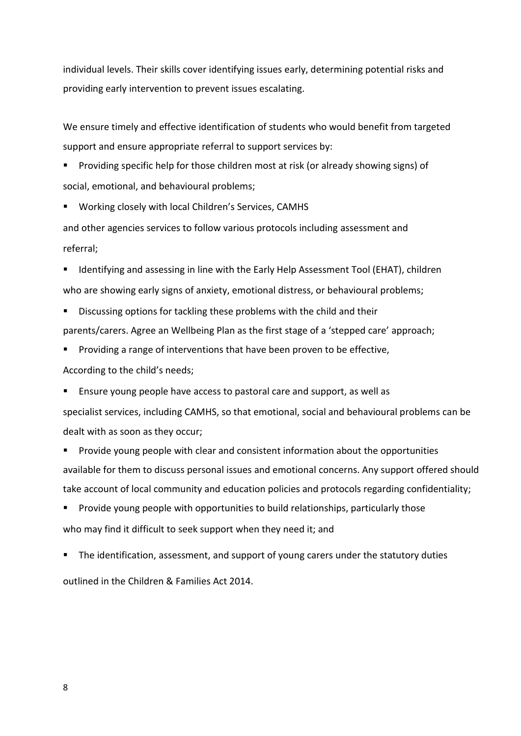individual levels. Their skills cover identifying issues early, determining potential risks and providing early intervention to prevent issues escalating.

We ensure timely and effective identification of students who would benefit from targeted support and ensure appropriate referral to support services by:

**Providing specific help for those children most at risk (or already showing signs) of** social, emotional, and behavioural problems;

**Working closely with local Children's Services, CAMHS** 

and other agencies services to follow various protocols including assessment and referral;

**If Identifying and assessing in line with the Early Help Assessment Tool (EHAT), children** who are showing early signs of anxiety, emotional distress, or behavioural problems;

- Discussing options for tackling these problems with the child and their parents/carers. Agree an Wellbeing Plan as the first stage of a 'stepped care' approach;
- Providing a range of interventions that have been proven to be effective,

According to the child's needs;

Ensure young people have access to pastoral care and support, as well as

specialist services, including CAMHS, so that emotional, social and behavioural problems can be dealt with as soon as they occur;

**Provide young people with clear and consistent information about the opportunities** available for them to discuss personal issues and emotional concerns. Any support offered should take account of local community and education policies and protocols regarding confidentiality;

 Provide young people with opportunities to build relationships, particularly those who may find it difficult to seek support when they need it; and

**The identification, assessment, and support of young carers under the statutory duties** outlined in the Children & Families Act 2014.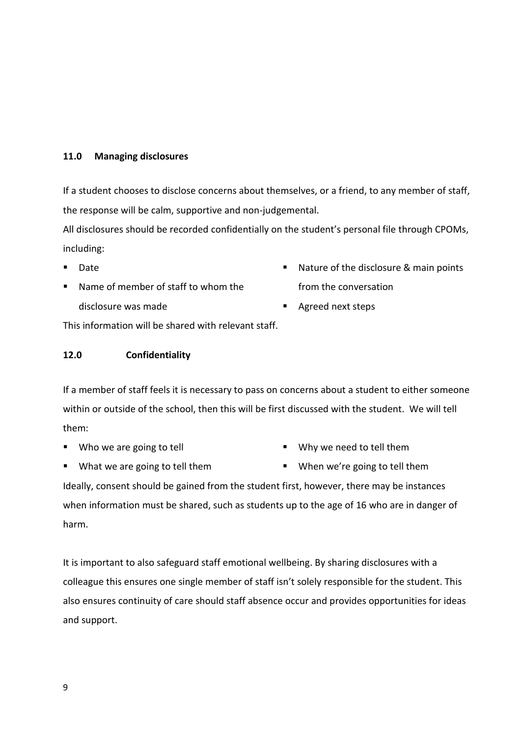#### **11.0 Managing disclosures**

If a student chooses to disclose concerns about themselves, or a friend, to any member of staff, the response will be calm, supportive and non-judgemental.

All disclosures should be recorded confidentially on the student's personal file through CPOMs, including:

- Date
- Name of member of staff to whom the disclosure was made
- **Nature of the disclosure & main points** from the conversation
- Agreed next steps

This information will be shared with relevant staff.

#### **12.0 Confidentiality**

If a member of staff feels it is necessary to pass on concerns about a student to either someone within or outside of the school, then this will be first discussed with the student. We will tell them:

■ Who we are going to tell

- Why we need to tell them
- **What we are going to tell them**
- **When we're going to tell them**

Ideally, consent should be gained from the student first, however, there may be instances when information must be shared, such as students up to the age of 16 who are in danger of harm.

It is important to also safeguard staff emotional wellbeing. By sharing disclosures with a colleague this ensures one single member of staff isn't solely responsible for the student. This also ensures continuity of care should staff absence occur and provides opportunities for ideas and support.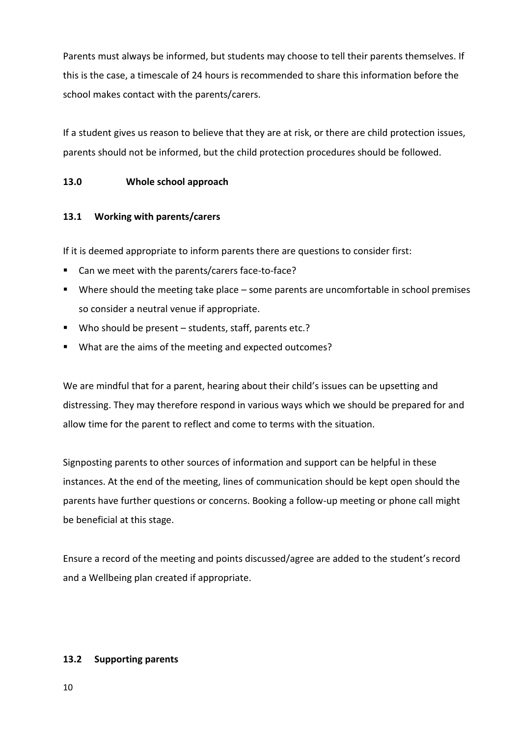Parents must always be informed, but students may choose to tell their parents themselves. If this is the case, a timescale of 24 hours is recommended to share this information before the school makes contact with the parents/carers.

If a student gives us reason to believe that they are at risk, or there are child protection issues, parents should not be informed, but the child protection procedures should be followed.

## **13.0 Whole school approach**

## **13.1 Working with parents/carers**

If it is deemed appropriate to inform parents there are questions to consider first:

- Can we meet with the parents/carers face-to-face?
- Where should the meeting take place some parents are uncomfortable in school premises so consider a neutral venue if appropriate.
- Who should be present students, staff, parents etc.?
- What are the aims of the meeting and expected outcomes?

We are mindful that for a parent, hearing about their child's issues can be upsetting and distressing. They may therefore respond in various ways which we should be prepared for and allow time for the parent to reflect and come to terms with the situation.

Signposting parents to other sources of information and support can be helpful in these instances. At the end of the meeting, lines of communication should be kept open should the parents have further questions or concerns. Booking a follow-up meeting or phone call might be beneficial at this stage.

Ensure a record of the meeting and points discussed/agree are added to the student's record and a Wellbeing plan created if appropriate.

## **13.2 Supporting parents**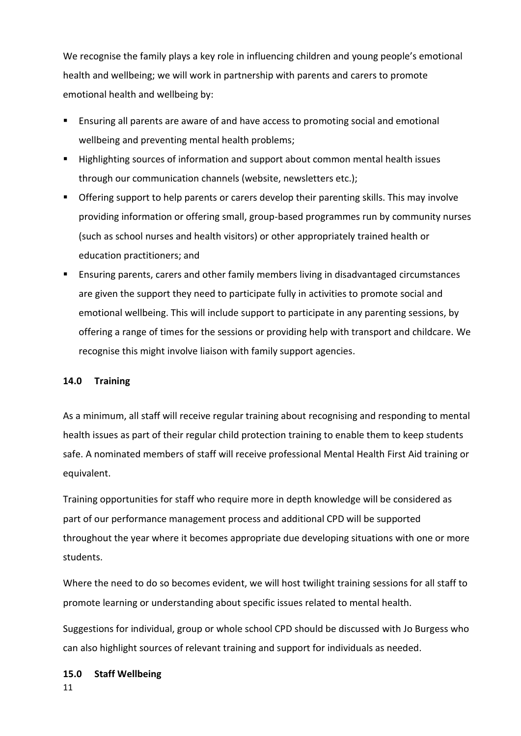We recognise the family plays a key role in influencing children and young people's emotional health and wellbeing; we will work in partnership with parents and carers to promote emotional health and wellbeing by:

- Ensuring all parents are aware of and have access to promoting social and emotional wellbeing and preventing mental health problems;
- Highlighting sources of information and support about common mental health issues through our communication channels (website, newsletters etc.);
- Offering support to help parents or carers develop their parenting skills. This may involve providing information or offering small, group-based programmes run by community nurses (such as school nurses and health visitors) or other appropriately trained health or education practitioners; and
- **Ensuring parents, carers and other family members living in disadvantaged circumstances** are given the support they need to participate fully in activities to promote social and emotional wellbeing. This will include support to participate in any parenting sessions, by offering a range of times for the sessions or providing help with transport and childcare. We recognise this might involve liaison with family support agencies.

## **14.0 Training**

As a minimum, all staff will receive regular training about recognising and responding to mental health issues as part of their regular child protection training to enable them to keep students safe. A nominated members of staff will receive professional Mental Health First Aid training or equivalent.

Training opportunities for staff who require more in depth knowledge will be considered as part of our performance management process and additional CPD will be supported throughout the year where it becomes appropriate due developing situations with one or more students.

Where the need to do so becomes evident, we will host twilight training sessions for all staff to promote learning or understanding about specific issues related to mental health.

Suggestions for individual, group or whole school CPD should be discussed with Jo Burgess who can also highlight sources of relevant training and support for individuals as needed.

#### **15.0 Staff Wellbeing**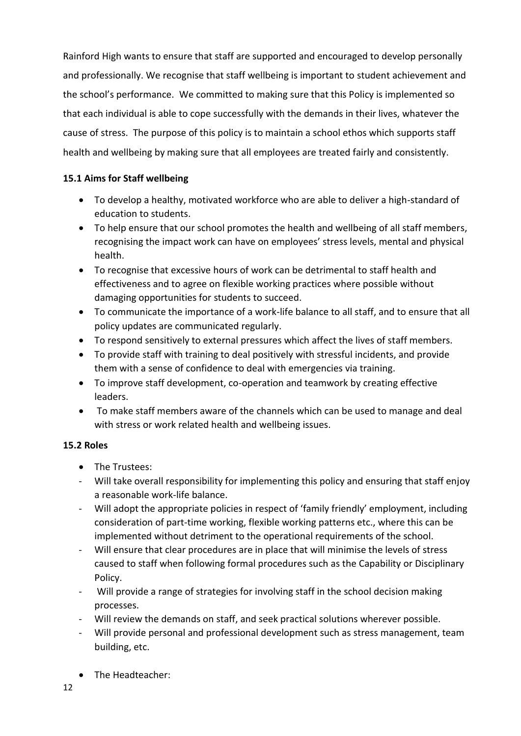Rainford High wants to ensure that staff are supported and encouraged to develop personally and professionally. We recognise that staff wellbeing is important to student achievement and the school's performance. We committed to making sure that this Policy is implemented so that each individual is able to cope successfully with the demands in their lives, whatever the cause of stress. The purpose of this policy is to maintain a school ethos which supports staff health and wellbeing by making sure that all employees are treated fairly and consistently.

## **15.1 Aims for Staff wellbeing**

- To develop a healthy, motivated workforce who are able to deliver a high-standard of education to students.
- To help ensure that our school promotes the health and wellbeing of all staff members, recognising the impact work can have on employees' stress levels, mental and physical health.
- To recognise that excessive hours of work can be detrimental to staff health and effectiveness and to agree on flexible working practices where possible without damaging opportunities for students to succeed.
- To communicate the importance of a work-life balance to all staff, and to ensure that all policy updates are communicated regularly.
- To respond sensitively to external pressures which affect the lives of staff members.
- To provide staff with training to deal positively with stressful incidents, and provide them with a sense of confidence to deal with emergencies via training.
- To improve staff development, co-operation and teamwork by creating effective leaders.
- To make staff members aware of the channels which can be used to manage and deal with stress or work related health and wellbeing issues.

## **15.2 Roles**

- The Trustees:
- Will take overall responsibility for implementing this policy and ensuring that staff enjoy a reasonable work-life balance.
- Will adopt the appropriate policies in respect of 'family friendly' employment, including consideration of part-time working, flexible working patterns etc., where this can be implemented without detriment to the operational requirements of the school.
- Will ensure that clear procedures are in place that will minimise the levels of stress caused to staff when following formal procedures such as the Capability or Disciplinary Policy.
- Will provide a range of strategies for involving staff in the school decision making processes.
- Will review the demands on staff, and seek practical solutions wherever possible.
- Will provide personal and professional development such as stress management, team building, etc.
- The Headteacher: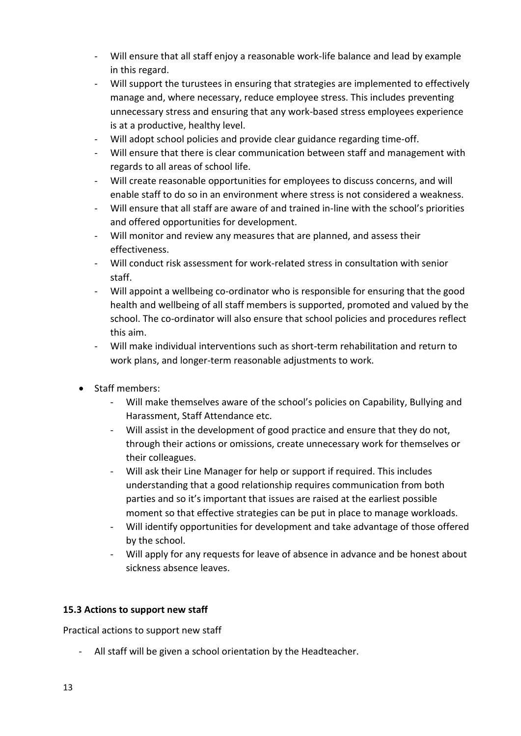- Will ensure that all staff enjoy a reasonable work-life balance and lead by example in this regard.
- Will support the turustees in ensuring that strategies are implemented to effectively manage and, where necessary, reduce employee stress. This includes preventing unnecessary stress and ensuring that any work-based stress employees experience is at a productive, healthy level.
- Will adopt school policies and provide clear guidance regarding time-off.
- Will ensure that there is clear communication between staff and management with regards to all areas of school life.
- Will create reasonable opportunities for employees to discuss concerns, and will enable staff to do so in an environment where stress is not considered a weakness.
- Will ensure that all staff are aware of and trained in-line with the school's priorities and offered opportunities for development.
- Will monitor and review any measures that are planned, and assess their effectiveness.
- Will conduct risk assessment for work-related stress in consultation with senior staff.
- Will appoint a wellbeing co-ordinator who is responsible for ensuring that the good health and wellbeing of all staff members is supported, promoted and valued by the school. The co-ordinator will also ensure that school policies and procedures reflect this aim.
- Will make individual interventions such as short-term rehabilitation and return to work plans, and longer-term reasonable adjustments to work.
- Staff members:
	- Will make themselves aware of the school's policies on Capability, Bullying and Harassment, Staff Attendance etc.
	- Will assist in the development of good practice and ensure that they do not, through their actions or omissions, create unnecessary work for themselves or their colleagues.
	- Will ask their Line Manager for help or support if required. This includes understanding that a good relationship requires communication from both parties and so it's important that issues are raised at the earliest possible moment so that effective strategies can be put in place to manage workloads.
	- Will identify opportunities for development and take advantage of those offered by the school.
	- Will apply for any requests for leave of absence in advance and be honest about sickness absence leaves.

## **15.3 Actions to support new staff**

Practical actions to support new staff

- All staff will be given a school orientation by the Headteacher.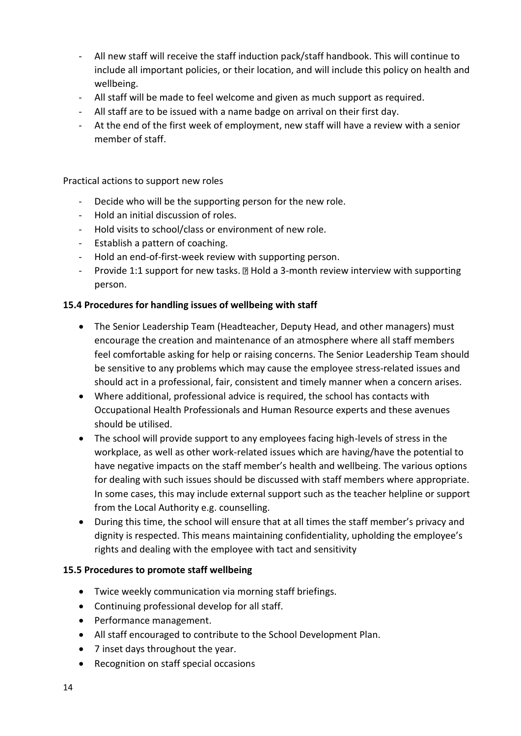- All new staff will receive the staff induction pack/staff handbook. This will continue to include all important policies, or their location, and will include this policy on health and wellbeing.
- All staff will be made to feel welcome and given as much support as required.
- All staff are to be issued with a name badge on arrival on their first day.
- At the end of the first week of employment, new staff will have a review with a senior member of staff.

Practical actions to support new roles

- Decide who will be the supporting person for the new role.
- Hold an initial discussion of roles.
- Hold visits to school/class or environment of new role.
- Establish a pattern of coaching.
- Hold an end-of-first-week review with supporting person.
- Provide 1:1 support for new tasks.  $\mathbb B$  Hold a 3-month review interview with supporting person.

## **15.4 Procedures for handling issues of wellbeing with staff**

- The Senior Leadership Team (Headteacher, Deputy Head, and other managers) must encourage the creation and maintenance of an atmosphere where all staff members feel comfortable asking for help or raising concerns. The Senior Leadership Team should be sensitive to any problems which may cause the employee stress-related issues and should act in a professional, fair, consistent and timely manner when a concern arises.
- Where additional, professional advice is required, the school has contacts with Occupational Health Professionals and Human Resource experts and these avenues should be utilised.
- The school will provide support to any employees facing high-levels of stress in the workplace, as well as other work-related issues which are having/have the potential to have negative impacts on the staff member's health and wellbeing. The various options for dealing with such issues should be discussed with staff members where appropriate. In some cases, this may include external support such as the teacher helpline or support from the Local Authority e.g. counselling.
- During this time, the school will ensure that at all times the staff member's privacy and dignity is respected. This means maintaining confidentiality, upholding the employee's rights and dealing with the employee with tact and sensitivity

## **15.5 Procedures to promote staff wellbeing**

- Twice weekly communication via morning staff briefings.
- Continuing professional develop for all staff.
- Performance management.
- All staff encouraged to contribute to the School Development Plan.
- 7 inset days throughout the year.
- Recognition on staff special occasions